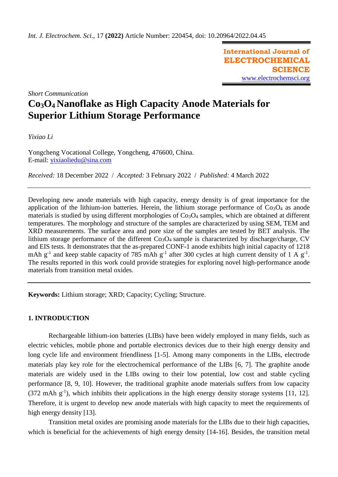**International Journal of ELECTROCHEMICAL SCIENCE** [www.electrochemsci.org](http://www.electrochemsci.org/)

*Short Communication*

# **Co3O4 Nanoflake as High Capacity Anode Materials for Superior Lithium Storage Performance**

*Yixiao Li*

Yongcheng Vocational College, Yongcheng, 476600, China. E-mail: [yixiaoliedu@sina.com](mailto:yixiaoliedu@sina.com)

*Received:* 18 December 2022/ *Accepted:* 3 February 2022 / *Published:* 4 March 2022

Developing new anode materials with high capacity, energy density is of great importance for the application of the lithium-ion batteries. Herein, the lithium storage performance of  $Co<sub>3</sub>O<sub>4</sub>$  as anode materials is studied by using different morphologies of  $Co<sub>3</sub>O<sub>4</sub>$  samples, which are obtained at different temperatures. The morphology and structure of the samples are characterized by using SEM, TEM and XRD measurements. The surface area and pore size of the samples are tested by BET analysis. The lithium storage performance of the different  $Co<sub>3</sub>O<sub>4</sub>$  sample is characterized by discharge/charge, CV and EIS tests. It demonstrates that the as-prepared CONF-1 anode exhibits high initial capacity of 1218 mAh  $g^{-1}$  and keep stable capacity of 785 mAh  $g^{-1}$  after 300 cycles at high current density of 1 A  $g^{-1}$ . The results reported in this work could provide strategies for exploring novel high-performance anode materials from transition metal oxides.

**Keywords:** Lithium storage; XRD; Capacity; Cycling; Structure.

# **1. INTRODUCTION**

Rechargeable lithium-ion batteries (LIBs) have been widely employed in many fields, such as electric vehicles, mobile phone and portable electronics devices due to their high energy density and long cycle life and environment friendliness [1-5]. Among many components in the LIBs, electrode materials play key role for the electrochemical performance of the LIBs [6, 7]. The graphite anode materials are widely used in the LIBs owing to their low potential, low cost and stable cycling performance [8, 9, 10]. However, the traditional graphite anode materials suffers from low capacity  $(372 \text{ mA} \text{h} \text{g}^{-1})$ , which inhibits their applications in the high energy density storage systems [11, 12]. Therefore, it is urgent to develop new anode materials with high capacity to meet the requirements of high energy density [13].

Transition metal oxides are promising anode materials for the LIBs due to their high capacities, which is beneficial for the achievements of high energy density [14-16]. Besides, the transition metal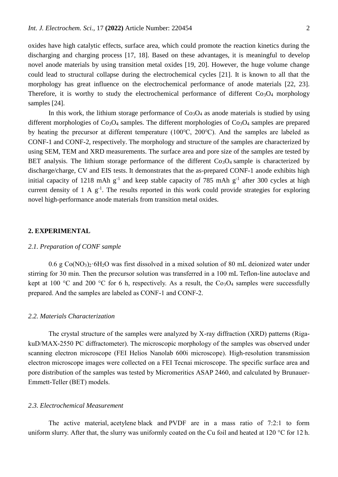oxides have high catalytic effects, surface area, which could promote the reaction kinetics during the discharging and charging process [17, 18]. Based on these advantages, it is meaningful to develop novel anode materials by using transition metal oxides [19, 20]. However, the huge volume change could lead to structural collapse during the electrochemical cycles [21]. It is known to all that the morphology has great influence on the electrochemical performance of anode materials [22, 23]. Therefore, it is worthy to study the electrochemical performance of different  $Co<sub>3</sub>O<sub>4</sub>$  morphology samples [24].

In this work, the lithium storage performance of  $Co<sub>3</sub>O<sub>4</sub>$  as anode materials is studied by using different morphologies of  $Co<sub>3</sub>O<sub>4</sub>$  samples. The different morphologies of  $Co<sub>3</sub>O<sub>4</sub>$  samples are prepared by heating the precursor at different temperature (100℃, 200℃). And the samples are labeled as CONF-1 and CONF-2, respectively. The morphology and structure of the samples are characterized by using SEM, TEM and XRD measurements. The surface area and pore size of the samples are tested by BET analysis. The lithium storage performance of the different  $Co<sub>3</sub>O<sub>4</sub>$  sample is characterized by discharge/charge, CV and EIS tests. It demonstrates that the as-prepared CONF-1 anode exhibits high initial capacity of 1218 mAh  $g^{-1}$  and keep stable capacity of 785 mAh  $g^{-1}$  after 300 cycles at high current density of  $1 \text{ A } g^{-1}$ . The results reported in this work could provide strategies for exploring novel high-performance anode materials from transition metal oxides.

## **2. EXPERIMENTAL**

#### *2.1. Preparation of CONF sample*

 $0.6$  g Co(NO<sub>3</sub>)<sub>2</sub>·6H<sub>2</sub>O was first dissolved in a mixed solution of 80 mL deionized water under stirring for 30 min. Then the precursor solution was transferred in a 100 mL Teflon-line autoclave and kept at 100 °C and 200 °C for 6 h, respectively. As a result, the  $Co<sub>3</sub>O<sub>4</sub>$  samples were successfully prepared. And the samples are labeled as CONF-1 and CONF-2.

#### *2.2. Materials Characterization*

The crystal structure of the samples were analyzed by X-ray diffraction (XRD) patterns (RigakuD/MAX-2550 PC diffractometer). The microscopic morphology of the samples was observed under scanning electron microscope (FEI Helios Nanolab 600i microscope). High-resolution transmission electron microscope images were collected on a FEI Tecnai microscope. The specific surface area and pore distribution of the samples was tested by Micromeritics ASAP 2460, and calculated by Brunauer-Emmett-Teller (BET) models.

# *2.3. Electrochemical Measurement*

The active material, acetylene black and PVDF are in a mass ratio of 7:2:1 to form uniform slurry. After that, the slurry was uniformly coated on the Cu foil and heated at 120 °C for 12 h.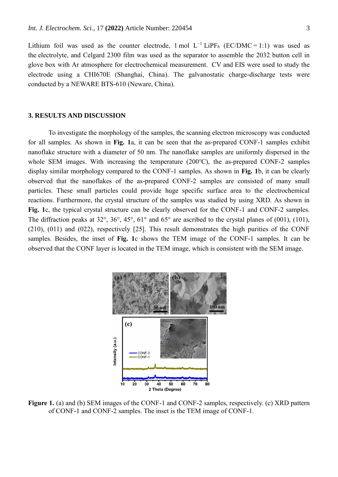Lithium foil was used as the counter electrode, 1 mol  $L^{-1}$  LiPF<sub>6</sub> (EC/DMC = 1:1) was used as the electrolyte, and Celgard 2300 film was used as the separator to assemble the 2032 button cell in glove box with Ar atmosphere for electrochemical measurement. CV and EIS were used to study the electrode using a CHI670E (Shanghai, China). The galvanostatic charge-discharge tests were conducted by a NEWARE BTS-610 (Neware, China).

#### **3. RESULTS AND DISCUSSION**

To investigate the morphology of the samples, the scanning electron microscopy was conducted for all samples. As shown in **Fig. 1**a, it can be seen that the as-prepared CONF-1 samples exhibit nanoflake structure with a diameter of 50 nm. The nanoflake samples are uniformly dispersed in the whole SEM images. With increasing the temperature (200℃), the as-prepared CONF-2 samples display similar morphology compared to the CONF-1 samples. As shown in **Fig. 1**b, it can be clearly observed that the nanoflakes of the as-prepared CONF-2 samples are consisted of many small particles. These small particles could provide huge specific surface area to the electrochemical reactions. Furthermore, the crystal structure of the samples was studied by using XRD. As shown in Fig. 1c, the typical crystal structure can be clearly observed for the CONF-1 and CONF-2 samples. The diffraction peaks at 32°, 36°, 45°, 61° and 65° are ascribed to the crystal planes of (001), (101), (210), (011) and (022), respectively [25]. This result demonstrates the high purities of the CONF samples. Besides, the inset of **Fig. 1**c shows the TEM image of the CONF-1 samples. It can be observed that the CONF layer is located in the TEM image, which is consistent with the SEM image.



**Figure 1.** (a) and (b) SEM images of the CONF-1 and CONF-2 samples, respectively. (c) XRD pattern of CONF-1 and CONF-2 samples. The inset is the TEM image of CONF-1.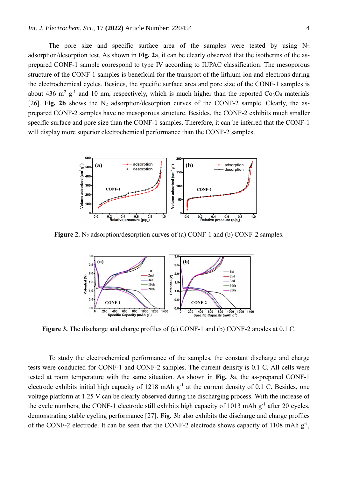The pore size and specific surface area of the samples were tested by using  $N_2$ adsorption/desorption test. As shown in **Fig. 2**a, it can be clearly observed that the isotherms of the asprepared CONF-1 sample correspond to type IV according to IUPAC classification. The mesoporous structure of the CONF-1 samples is beneficial for the transport of the lithium-ion and electrons during the electrochemical cycles. Besides, the specific surface area and pore size of the CONF-1 samples is about 436 m<sup>2</sup> g<sup>-1</sup> and 10 nm, respectively, which is much higher than the reported  $Co<sub>3</sub>O<sub>4</sub>$  materials [26]. **Fig. 2b** shows the N<sub>2</sub> adsorption/desorption curves of the CONF-2 sample. Clearly, the asprepared CONF-2 samples have no mesoporous structure. Besides, the CONF-2 exhibits much smaller specific surface and pore size than the CONF-1 samples. Therefore, it can be inferred that the CONF-1 will display more superior electrochemical performance than the CONF-2 samples.



**Figure 2.** N<sub>2</sub> adsorption/desorption curves of (a) CONF-1 and (b) CONF-2 samples.



**Figure 3.** The discharge and charge profiles of (a) CONF-1 and (b) CONF-2 anodes at 0.1 C.

To study the electrochemical performance of the samples, the constant discharge and charge tests were conducted for CONF-1 and CONF-2 samples. The current density is 0.1 C. All cells were tested at room temperature with the same situation. As shown in **Fig. 3**a, the as-prepared CONF-1 electrode exhibits initial high capacity of  $1218$  mAh  $g^{-1}$  at the current density of 0.1 C. Besides, one voltage platform at 1.25 V can be clearly observed during the discharging process. With the increase of the cycle numbers, the CONF-1 electrode still exhibits high capacity of 1013 mAh  $g^{-1}$  after 20 cycles, demonstrating stable cycling performance [27]. **Fig. 3**b also exhibits the discharge and charge profiles of the CONF-2 electrode. It can be seen that the CONF-2 electrode shows capacity of 1108 mAh  $g^{-1}$ ,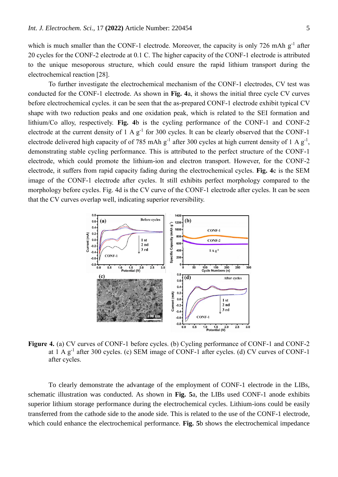which is much smaller than the CONF-1 electrode. Moreover, the capacity is only 726 mAh  $g^{-1}$  after 20 cycles for the CONF-2 electrode at 0.1 C. The higher capacity of the CONF-1 electrode is attributed to the unique mesoporous structure, which could ensure the rapid lithium transport during the electrochemical reaction [28].

To further investigate the electrochemical mechanism of the CONF-1 electrodes, CV test was conducted for the CONF-1 electrode. As shown in **Fig. 4**a, it shows the initial three cycle CV curves before electrochemical cycles. it can be seen that the as-prepared CONF-1 electrode exhibit typical CV shape with two reduction peaks and one oxidation peak, which is related to the SEI formation and lithium/Co alloy, respectively. **Fig. 4**b is the cycling performance of the CONF-1 and CONF-2 electrode at the current density of  $1 \text{ A g}^{-1}$  for 300 cycles. It can be clearly observed that the CONF-1 electrode delivered high capacity of of 785 mAh  $g^{-1}$  after 300 cycles at high current density of 1 A  $g^{-1}$ , demonstrating stable cycling performance. This is attributed to the perfect structure of the CONF-1 electrode, which could promote the lithium-ion and electron transport. However, for the CONF-2 electrode, it suffers from rapid capacity fading during the electrochemical cycles. **Fig. 4**c is the SEM image of the CONF-1 electrode after cycles. It still exhibits perfect morphology compared to the morphology before cycles. Fig. 4d is the CV curve of the CONF-1 electrode after cycles. It can be seen that the CV curves overlap well, indicating superior reversibility.



**Figure 4.** (a) CV curves of CONF-1 before cycles. (b) Cycling performance of CONF-1 and CONF-2 at 1 A g<sup>-1</sup> after 300 cycles. (c) SEM image of CONF-1 after cycles. (d) CV curves of CONF-1 after cycles.

To clearly demonstrate the advantage of the employment of CONF-1 electrode in the LIBs, schematic illustration was conducted. As shown in **Fig. 5**a, the LIBs used CONF-1 anode exhibits superior lithium storage performance during the electrochemical cycles. Lithium-ions could be easily transferred from the cathode side to the anode side. This is related to the use of the CONF-1 electrode, which could enhance the electrochemical performance. **Fig. 5**b shows the electrochemical impedance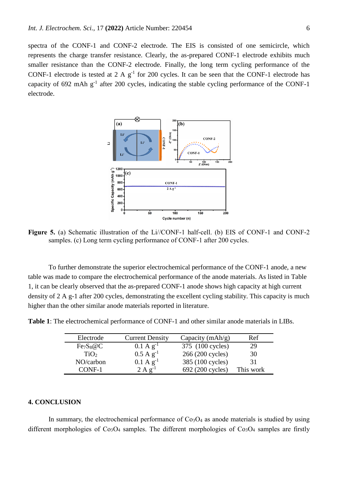spectra of the CONF-1 and CONF-2 electrode. The EIS is consisted of one semicircle, which represents the charge transfer resistance. Clearly, the as-prepared CONF-1 electrode exhibits much smaller resistance than the CONF-2 electrode. Finally, the long term cycling performance of the CONF-1 electrode is tested at 2 A  $g^{-1}$  for 200 cycles. It can be seen that the CONF-1 electrode has capacity of 692 mAh  $g^{-1}$  after 200 cycles, indicating the stable cycling performance of the CONF-1 electrode.



**Figure 5.** (a) Schematic illustration of the Li//CONF-1 half-cell. (b) EIS of CONF-1 and CONF-2 samples. (c) Long term cycling performance of CONF-1 after 200 cycles.

To further demonstrate the superior electrochemical performance of the CONF-1 anode, a new table was made to compare the electrochemical performance of the anode materials. As listed in Table 1, it can be clearly observed that the as-prepared CONF-1 anode shows high capacity at high current density of 2 A g-1 after 200 cycles, demonstrating the excellent cycling stability. This capacity is much higher than the other similar anode materials reported in literature.

**Table 1**: The electrochemical performance of CONF-1 and other similar anode materials in LIBs.

| Electrode                         | <b>Current Density</b>           | Capacity $(mAh/g)$ | Ref       |
|-----------------------------------|----------------------------------|--------------------|-----------|
| Fe <sub>7</sub> S <sub>8</sub> @C | $0.1 \text{ A g}^{-1}$           | 375 (100 cycles)   | 29        |
| TiO <sub>2</sub>                  | $0.5 \text{ A g}^{-1}$           | 266 (200 cycles)   | 30        |
| NO/carbon                         | $0.1 \text{ A g}^{-1}$           | 385 (100 cycles)   | 31        |
| CONE-1                            | $2 \text{ A } \mathfrak{g}^{-1}$ | 692 (200 cycles)   | This work |

# **4. CONCLUSION**

In summary, the electrochemical performance of  $Co<sub>3</sub>O<sub>4</sub>$  as anode materials is studied by using different morphologies of  $Co<sub>3</sub>O<sub>4</sub>$  samples. The different morphologies of  $Co<sub>3</sub>O<sub>4</sub>$  samples are firstly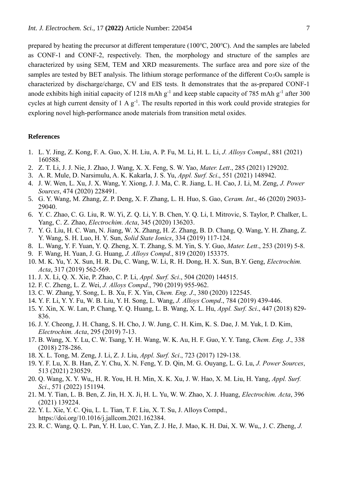prepared by heating the precursor at different temperature (100℃, 200℃). And the samples are labeled as CONF-1 and CONF-2, respectively. Then, the morphology and structure of the samples are characterized by using SEM, TEM and XRD measurements. The surface area and pore size of the samples are tested by BET analysis. The lithium storage performance of the different  $Co<sub>3</sub>O<sub>4</sub>$  sample is characterized by discharge/charge, CV and EIS tests. It demonstrates that the as-prepared CONF-1 anode exhibits high initial capacity of 1218 mAh  $g^{-1}$  and keep stable capacity of 785 mAh  $g^{-1}$  after 300 cycles at high current density of  $1 \text{ A g}^{-1}$ . The results reported in this work could provide strategies for exploring novel high-performance anode materials from transition metal oxides.

## **References**

- 1. L. Y. Jing, Z. Kong, F. A. Guo, X. H. Liu, A. P. Fu, M. Li, H. L. Li, *J. Alloys Compd*., 881 (2021) 160588.
- 2. Z. T. Li, J. J. Nie, J. Zhao, J. Wang, X. X. Feng, S. W. Yao, *Mater. Lett*., 285 (2021) 129202.
- 3. A. R. Mule, D. Narsimulu, A. K. Kakarla, J. S. Yu, *Appl. Surf. Sci*., 551 (2021) 148942.
- 4. J. W. Wen, L. Xu, J. X. Wang, Y. Xiong, J. J. Ma, C. R. Jiang, L. H. Cao, J. Li, M. Zeng, *J. Power Sources*, 474 (2020) 228491.
- 5. G. Y. Wang, M. Zhang, Z. P. Deng, X. F. Zhang, L. H. Huo, S. Gao, *Ceram. Int*., 46 (2020) 29033- 29040.
- 6. Y. C. Zhao, C. G. Liu, R. W. Yi, Z. Q. Li, Y. B. Chen, Y. Q. Li, I. Mitrovic, S. Taylor, P. Chalker, L. Yang, C. Z. Zhao, *Electrochim. Acta*, 345 (2020) 136203.
- 7. Y. G. Liu, H. C. Wan, N. Jiang, W. X. Zhang, H. Z. Zhang, B. D. Chang, Q. Wang, Y. H. Zhang, Z. Y. Wang, S. H. Luo, H. Y. Sun, *Solid State Ionics*, 334 (2019) 117-124.
- 8. L. Wang, Y. F. Yuan, Y. Q. Zheng, X. T. Zhang, S. M. Yin, S. Y. Guo, *Mater. Lett*., 253 (2019) 5-8.
- 9. F. Wang, H. Yuan, J. G. Huang, *J. Alloys Compd*., 819 (2020) 153375.
- 10. M. K. Yu, Y. X. Sun, H. R. Du, C. Wang, W. Li, R. H. Dong, H. X. Sun, B.Y. Geng, *Electrochim. Acta*, 317 (2019) 562-569.
- 11. J. X. Li, Q. X. Xie, P. Zhao, C. P. Li, *Appl. Surf. Sci*., 504 (2020) 144515.
- 12. F. C. Zheng, L. Z. Wei, *J. Alloys Compd*., 790 (2019) 955-962.
- 13. C. W. Zhang, Y. Song, L. B. Xu, F. X. Yin, *Chem. Eng. J*., 380 (2020) 122545.
- 14. Y. F. Li, Y. Y. Fu, W. B. Liu, Y. H. Song, L. Wang, *J. Alloys Compd*., 784 (2019) 439-446.
- 15. Y. Xin, X. W. Lan, P. Chang, Y. Q. Huang, L. B. Wang, X. L. Hu, *Appl. Surf. Sci*., 447 (2018) 829- 836.
- 16. J. Y. Cheong, J. H. Chang, S. H. Cho, J. W. Jung, C. H. Kim, K. S. Dae, J. M. Yuk, I. D. Kim, *Electrochim. Acta*, 295 (2019) 7-13.
- 17. B. Wang, X. Y. Lu, C. W. Tsang, Y. H. Wang, W. K. Au, H. F. Guo, Y. Y. Tang, *Chem. Eng. J*., 338 (2018) 278-286.
- 18. X. L. Tong, M. Zeng, J. Li, Z. J. Liu, *Appl. Surf. Sci*., 723 (2017) 129-138.
- 19. Y. F. Lu, X. B. Han, Z. Y. Chu, X. N. Feng, Y. D. Qin, M. G. Ouyang, L. G. Lu, *J. Power Sources*, 513 (2021) 230529.
- 20. Q. Wang, X. Y. Wu,, H. R. You, H. H. Min, X. K. Xu, J. W. Hao, X. M. Liu, H. Yang, *Appl. Surf. Sci*., 571 (2022) 151194.
- 21. M. Y. Tian, L. B. Ben, Z. Jin, H. X. Ji, H. L. Yu, W. W. Zhao, X. J. Huang, *Electrochim. Acta*, 396 (2021) 139224.
- 22. Y. L. Xie, Y. C. Qiu, L. L. Tian, T. F. Liu, X. T. Su, J. Alloys Compd., https://doi.org/10.1016/j.jallcom.2021.162384.
- 23. R. C. Wang, Q. L. Pan, Y. H. Luo, C. Yan, Z. J. He, J. Mao, K. H. Dai, X. W. Wu,, J. C. Zheng, *J.*